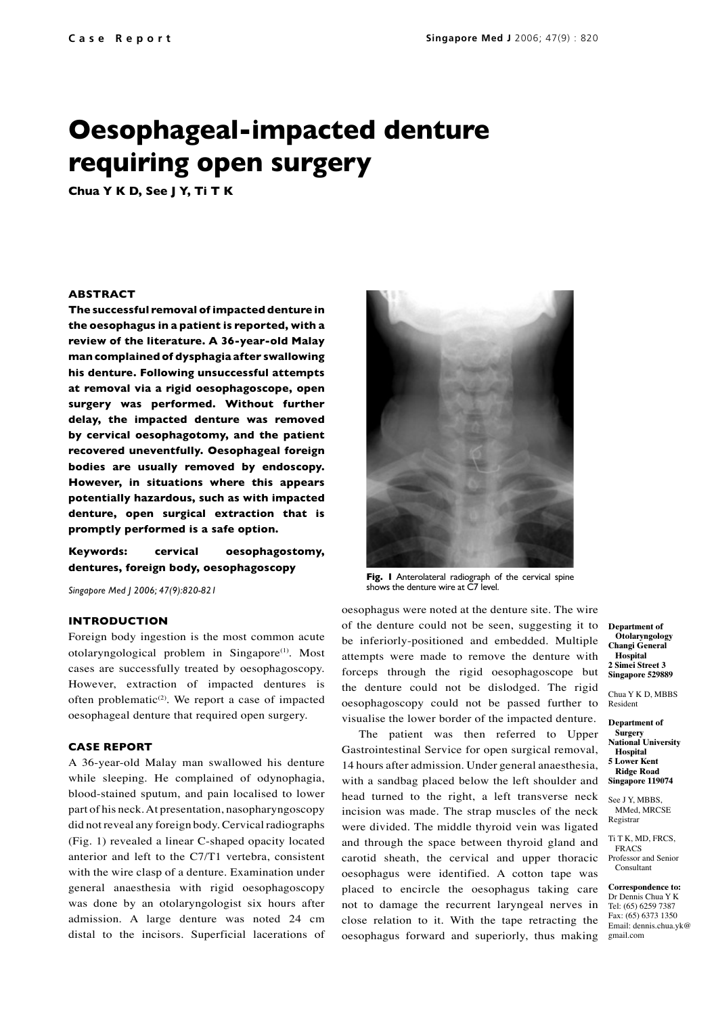# **Oesophageal-impacted denture requiring open surgery**

**Chua Y K D, See J Y, Ti T K**

### **ABSTRACT**

**The successful removal of impacted denture in the oesophagus in a patient is reported, with a review of the literature. A 36-year-old Malay man complained of dysphagia after swallowing his denture. Following unsuccessful attempts at removal via a rigid oesophagoscope, open surgery was performed. Without further delay, the impacted denture was removed by cervical oesophagotomy, and the patient recovered uneventfully. Oesophageal foreign bodies are usually removed by endoscopy. However, in situations where this appears potentially hazardous, such as with impacted denture, open surgical extraction that is promptly performed is a safe option.** 

# **Keywords: cervical oesophagostomy, dentures, foreign body, oesophagoscopy**

*Singapore Med J 2006; 47(9):820-821*

#### **INTRODUCTION**

Foreign body ingestion is the most common acute otolaryngological problem in Singapore<sup>(1)</sup>. Most cases are successfully treated by oesophagoscopy. However, extraction of impacted dentures is often problematic<sup>(2)</sup>. We report a case of impacted oesophageal denture that required open surgery.

# **CASE REPORT**

A 36-year-old Malay man swallowed his denture while sleeping. He complained of odynophagia, blood-stained sputum, and pain localised to lower part of his neck. At presentation, nasopharyngoscopy did not reveal any foreign body. Cervical radiographs (Fig. 1) revealed a linear C-shaped opacity located anterior and left to the C7/T1 vertebra, consistent with the wire clasp of a denture. Examination under general anaesthesia with rigid oesophagoscopy was done by an otolaryngologist six hours after admission. A large denture was noted 24 cm distal to the incisors. Superficial lacerations of



**Fig. 1** Anterolateral radiograph of the cervical spine shows the denture wire at C7 level.

oesophagus were noted at the denture site. The wire of the denture could not be seen, suggesting it to be inferiorly-positioned and embedded. Multiple attempts were made to remove the denture with forceps through the rigid oesophagoscope but the denture could not be dislodged. The rigid oesophagoscopy could not be passed further to visualise the lower border of the impacted denture.

The patient was then referred to Upper Gastrointestinal Service for open surgical removal, 14 hours after admission. Under general anaesthesia, with a sandbag placed below the left shoulder and head turned to the right, a left transverse neck incision was made. The strap muscles of the neck were divided. The middle thyroid vein was ligated and through the space between thyroid gland and carotid sheath, the cervical and upper thoracic oesophagus were identified. A cotton tape was placed to encircle the oesophagus taking care not to damage the recurrent laryngeal nerves in close relation to it. With the tape retracting the oesophagus forward and superiorly, thus making

**Department of Otolaryngology Changi General Hospital 2 Simei Street 3 Singapore 529889** 

Chua Y K D, MBBS Resident

**Department of Surgery National University Hospital 5 Lower Kent Ridge Road Singapore 119074**

See J Y, MBBS, MM<sub>ed</sub> MRCSE Registrar

Ti T K, MD, FRCS, FRACS

Professor and Senior Consultant

**Correspondence to:** Dr Dennis Chua Y K Tel: (65) 6259 7387 Fax: (65) 6373 1350 Email: dennis.chua.yk@ gmail.com